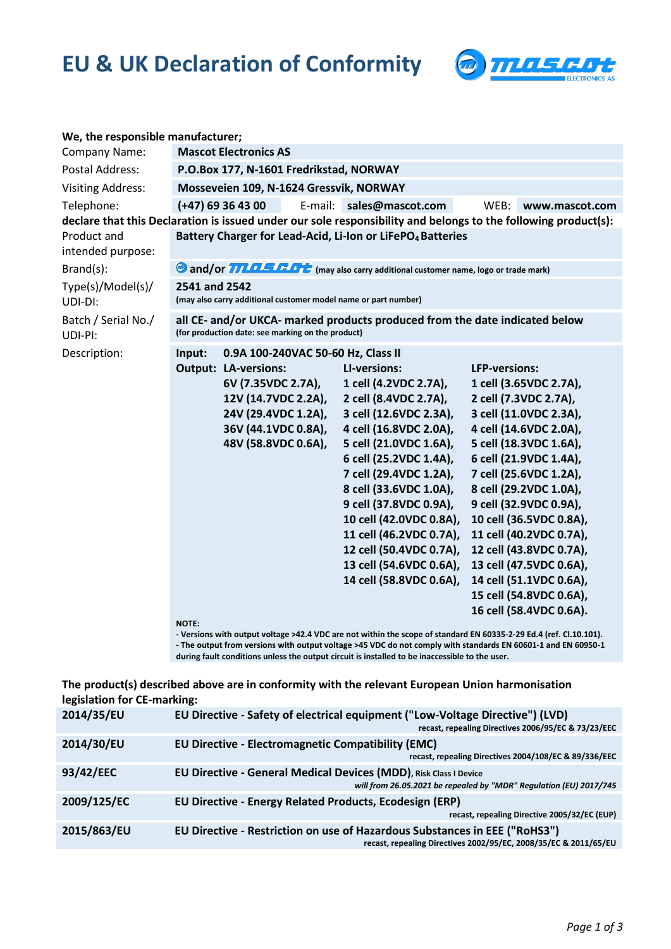## **EU & UK Declaration of Conformity**



| We, the responsible manufacturer;                                                                              |                                                                                                                                  |                                         |  |                                                 |                         |                         |  |  |  |  |  |
|----------------------------------------------------------------------------------------------------------------|----------------------------------------------------------------------------------------------------------------------------------|-----------------------------------------|--|-------------------------------------------------|-------------------------|-------------------------|--|--|--|--|--|
| Company Name:                                                                                                  | <b>Mascot Electronics AS</b>                                                                                                     |                                         |  |                                                 |                         |                         |  |  |  |  |  |
| Postal Address:                                                                                                |                                                                                                                                  | P.O.Box 177, N-1601 Fredrikstad, NORWAY |  |                                                 |                         |                         |  |  |  |  |  |
| <b>Visiting Address:</b>                                                                                       | Mosseveien 109, N-1624 Gressvik, NORWAY                                                                                          |                                         |  |                                                 |                         |                         |  |  |  |  |  |
| Telephone:                                                                                                     | $(+47)$ 69 36 43 00                                                                                                              |                                         |  | E-mail: sales@mascot.com                        | WEB:                    | www.mascot.com          |  |  |  |  |  |
| declare that this Declaration is issued under our sole responsibility and belongs to the following product(s): |                                                                                                                                  |                                         |  |                                                 |                         |                         |  |  |  |  |  |
| Product and<br>intended purpose:                                                                               | Battery Charger for Lead-Acid, Li-Ion or LiFePO <sub>4</sub> Batteries                                                           |                                         |  |                                                 |                         |                         |  |  |  |  |  |
| $Brand(s)$ :                                                                                                   | and/or <b>TILELED</b> (may also carry additional customer name, logo or trade mark)                                              |                                         |  |                                                 |                         |                         |  |  |  |  |  |
| Type(s)/Model(s)/<br>UDI-DI:                                                                                   | 2541 and 2542<br>(may also carry additional customer model name or part number)                                                  |                                         |  |                                                 |                         |                         |  |  |  |  |  |
| Batch / Serial No./<br>UDI-PI:                                                                                 | all CE- and/or UKCA- marked products produced from the date indicated below<br>(for production date: see marking on the product) |                                         |  |                                                 |                         |                         |  |  |  |  |  |
| Description:                                                                                                   | 0.9A 100-240VAC 50-60 Hz, Class II<br>Input:                                                                                     |                                         |  |                                                 |                         |                         |  |  |  |  |  |
|                                                                                                                |                                                                                                                                  | <b>Output: LA-versions:</b>             |  | LI-versions:                                    | <b>LFP-versions:</b>    |                         |  |  |  |  |  |
|                                                                                                                |                                                                                                                                  | 6V (7.35VDC 2.7A),                      |  | 1 cell (4.2VDC 2.7A),                           |                         | 1 cell (3.65VDC 2.7A),  |  |  |  |  |  |
|                                                                                                                |                                                                                                                                  | 12V (14.7VDC 2.2A),                     |  | 2 cell (8.4VDC 2.7A),                           |                         | 2 cell (7.3VDC 2.7A),   |  |  |  |  |  |
|                                                                                                                |                                                                                                                                  | 24V (29.4VDC 1.2A),                     |  | 3 cell (12.6VDC 2.3A),                          |                         | 3 cell (11.0VDC 2.3A),  |  |  |  |  |  |
|                                                                                                                |                                                                                                                                  | 36V (44.1VDC 0.8A),                     |  | 4 cell (16.8VDC 2.0A),                          |                         | 4 cell (14.6VDC 2.0A),  |  |  |  |  |  |
|                                                                                                                |                                                                                                                                  | 48V (58.8VDC 0.6A),                     |  | 5 cell (21.0VDC 1.6A),                          |                         | 5 cell (18.3VDC 1.6A),  |  |  |  |  |  |
|                                                                                                                |                                                                                                                                  |                                         |  | 6 cell (25.2VDC 1.4A),                          |                         | 6 cell (21.9VDC 1.4A),  |  |  |  |  |  |
|                                                                                                                |                                                                                                                                  |                                         |  | 7 cell (29.4VDC 1.2A),                          |                         | 7 cell (25.6VDC 1.2A),  |  |  |  |  |  |
|                                                                                                                |                                                                                                                                  |                                         |  | 8 cell (33.6VDC 1.0A),                          |                         | 8 cell (29.2VDC 1.0A),  |  |  |  |  |  |
|                                                                                                                |                                                                                                                                  |                                         |  | 9 cell (37.8VDC 0.9A),                          |                         | 9 cell (32.9VDC 0.9A),  |  |  |  |  |  |
|                                                                                                                |                                                                                                                                  |                                         |  | 10 cell (42.0VDC 0.8A),                         |                         | 10 cell (36.5VDC 0.8A), |  |  |  |  |  |
|                                                                                                                |                                                                                                                                  |                                         |  | 11 cell (46.2VDC 0.7A),                         |                         | 11 cell (40.2VDC 0.7A), |  |  |  |  |  |
|                                                                                                                |                                                                                                                                  |                                         |  | 12 cell (50.4VDC 0.7A),                         |                         | 12 cell (43.8VDC 0.7A), |  |  |  |  |  |
|                                                                                                                |                                                                                                                                  |                                         |  | 13 cell (54.6VDC 0.6A), 13 cell (47.5VDC 0.6A), |                         |                         |  |  |  |  |  |
|                                                                                                                |                                                                                                                                  |                                         |  | 14 cell (58.8VDC 0.6A),                         | 14 cell (51.1VDC 0.6A), |                         |  |  |  |  |  |
|                                                                                                                |                                                                                                                                  |                                         |  |                                                 |                         | 15 cell (54.8VDC 0.6A), |  |  |  |  |  |
|                                                                                                                |                                                                                                                                  |                                         |  |                                                 |                         | 16 cell (58.4VDC 0.6A). |  |  |  |  |  |
|                                                                                                                | NOTE:<br>- Versions with output voltage >42.4 VDC are not within the scope of standard EN 60335-2-29 Ed.4 (ref. Cl.10.101).      |                                         |  |                                                 |                         |                         |  |  |  |  |  |
|                                                                                                                |                                                                                                                                  |                                         |  |                                                 |                         |                         |  |  |  |  |  |

**- The output from versions with output voltage >45 VDC do not comply with standards EN 60601-1 and EN 60950-1 during fault conditions unless the output circuit is installed to be inaccessible to the user.**

**The product(s) described above are in conformity with the relevant European Union harmonisation legislation for CE-marking:**

| 2014/35/EU  | EU Directive - Safety of electrical equipment ("Low-Voltage Directive") (LVD)<br>recast, repealing Directives 2006/95/EC & 73/23/EEC           |
|-------------|------------------------------------------------------------------------------------------------------------------------------------------------|
| 2014/30/EU  | <b>EU Directive - Electromagnetic Compatibility (EMC)</b><br>recast, repealing Directives 2004/108/EC & 89/336/EEC                             |
| 93/42/EEC   | EU Directive - General Medical Devices (MDD), Risk Class I Device<br>will from 26.05.2021 be repealed by "MDR" Regulation (EU) 2017/745        |
| 2009/125/EC | EU Directive - Energy Related Products, Ecodesign (ERP)<br>recast, repealing Directive 2005/32/EC (EUP)                                        |
| 2015/863/EU | EU Directive - Restriction on use of Hazardous Substances in EEE ("RoHS3")<br>recast, repealing Directives 2002/95/EC, 2008/35/EC & 2011/65/EU |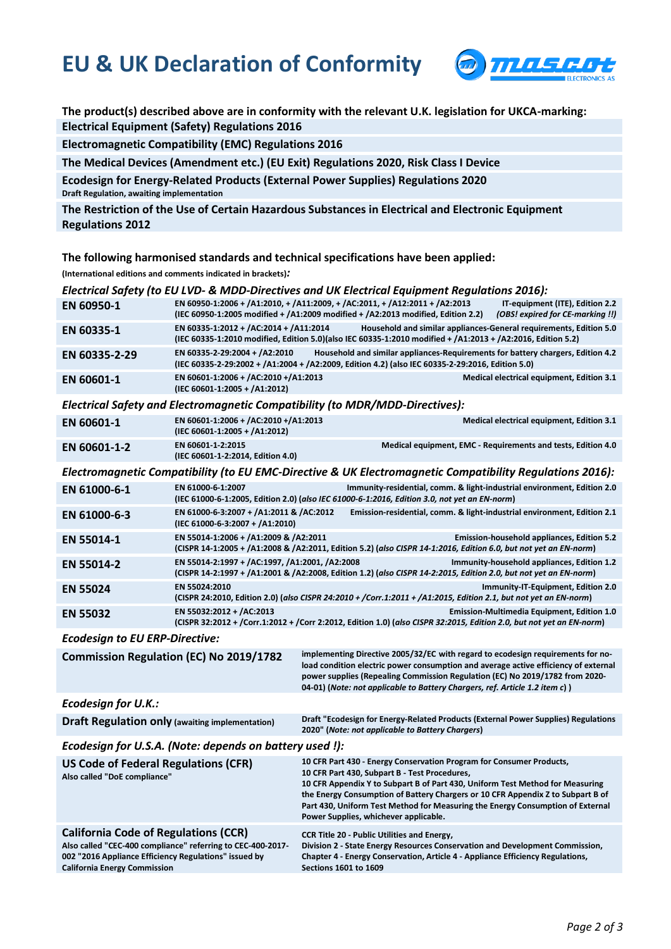## **EU & UK Declaration of Conformity**



**The product(s) described above are in conformity with the relevant U.K. legislation for UKCA-marking: Electrical Equipment (Safety) Regulations 2016**

**Electromagnetic Compatibility (EMC) Regulations 2016**

**The Medical Devices (Amendment etc.) (EU Exit) Regulations 2020, Risk Class I Device**

**Ecodesign for Energy-Related Products (External Power Supplies) Regulations 2020 Draft Regulation, awaiting implementation**

**The Restriction of the Use of Certain Hazardous Substances in Electrical and Electronic Equipment Regulations 2012**

**The following harmonised standards and technical specifications have been applied:**

**(International editions and comments indicated in brackets)***:*

|                                                                                                                                                                                                            | (international editions and comments indicated in brackets).                                                                                                                                                                           |                              |                                                                                                                                                                                                                                                                                                                                                                                                                      |                                                                                 |  |  |  |  |  |
|------------------------------------------------------------------------------------------------------------------------------------------------------------------------------------------------------------|----------------------------------------------------------------------------------------------------------------------------------------------------------------------------------------------------------------------------------------|------------------------------|----------------------------------------------------------------------------------------------------------------------------------------------------------------------------------------------------------------------------------------------------------------------------------------------------------------------------------------------------------------------------------------------------------------------|---------------------------------------------------------------------------------|--|--|--|--|--|
|                                                                                                                                                                                                            | Electrical Safety (to EU LVD- & MDD-Directives and UK Electrical Equipment Regulations 2016):                                                                                                                                          |                              |                                                                                                                                                                                                                                                                                                                                                                                                                      |                                                                                 |  |  |  |  |  |
| EN 60950-1                                                                                                                                                                                                 | EN 60950-1:2006 + /A1:2010, + /A11:2009, + /AC:2011, + /A12:2011 + /A2:2013<br>IT-equipment (ITE), Edition 2.2<br>(IEC 60950-1:2005 modified + /A1:2009 modified + /A2:2013 modified, Edition 2.2)<br>(OBS! expired for CE-marking !!) |                              |                                                                                                                                                                                                                                                                                                                                                                                                                      |                                                                                 |  |  |  |  |  |
| EN 60335-1                                                                                                                                                                                                 | EN 60335-1:2012 + /AC:2014 + /A11:2014<br>(IEC 60335-1:2010 modified, Edition 5.0)(also IEC 60335-1:2010 modified + /A1:2013 + /A2:2016, Edition 5.2)                                                                                  |                              |                                                                                                                                                                                                                                                                                                                                                                                                                      | Household and similar appliances-General requirements, Edition 5.0              |  |  |  |  |  |
| EN 60335-2-29                                                                                                                                                                                              | EN 60335-2-29:2004 + /A2:2010<br>(IEC 60335-2-29:2002 + /A1:2004 + /A2:2009, Edition 4.2) (also IEC 60335-2-29:2016, Edition 5.0)                                                                                                      |                              |                                                                                                                                                                                                                                                                                                                                                                                                                      | Household and similar appliances-Requirements for battery chargers, Edition 4.2 |  |  |  |  |  |
| EN 60601-1                                                                                                                                                                                                 | EN 60601-1:2006 + /AC:2010 +/A1:2013<br>Medical electrical equipment, Edition 3.1<br>(IEC 60601-1:2005 + /A1:2012)                                                                                                                     |                              |                                                                                                                                                                                                                                                                                                                                                                                                                      |                                                                                 |  |  |  |  |  |
| Electrical Safety and Electromagnetic Compatibility (to MDR/MDD-Directives):                                                                                                                               |                                                                                                                                                                                                                                        |                              |                                                                                                                                                                                                                                                                                                                                                                                                                      |                                                                                 |  |  |  |  |  |
| EN 60601-1                                                                                                                                                                                                 | EN 60601-1:2006 + /AC:2010 +/A1:2013<br>Medical electrical equipment, Edition 3.1<br>(IEC 60601-1:2005 + /A1:2012)                                                                                                                     |                              |                                                                                                                                                                                                                                                                                                                                                                                                                      |                                                                                 |  |  |  |  |  |
| EN 60601-1-2                                                                                                                                                                                               | EN 60601-1-2:2015<br>(IEC 60601-1-2:2014, Edition 4.0)                                                                                                                                                                                 |                              |                                                                                                                                                                                                                                                                                                                                                                                                                      | Medical equipment, EMC - Requirements and tests, Edition 4.0                    |  |  |  |  |  |
| Electromagnetic Compatibility (to EU EMC-Directive & UK Electromagnetic Compatibility Regulations 2016):                                                                                                   |                                                                                                                                                                                                                                        |                              |                                                                                                                                                                                                                                                                                                                                                                                                                      |                                                                                 |  |  |  |  |  |
| EN 61000-6-1                                                                                                                                                                                               | EN 61000-6-1:2007<br>Immunity-residential, comm. & light-industrial environment, Edition 2.0<br>(IEC 61000-6-1:2005, Edition 2.0) (also IEC 61000-6-1:2016, Edition 3.0, not yet an EN-norm)                                           |                              |                                                                                                                                                                                                                                                                                                                                                                                                                      |                                                                                 |  |  |  |  |  |
| EN 61000-6-3                                                                                                                                                                                               | EN 61000-6-3:2007 + /A1:2011 & /AC:2012<br>Emission-residential, comm. & light-industrial environment, Edition 2.1<br>(IEC 61000-6-3:2007 + /A1:2010)                                                                                  |                              |                                                                                                                                                                                                                                                                                                                                                                                                                      |                                                                                 |  |  |  |  |  |
| EN 55014-1                                                                                                                                                                                                 | EN 55014-1:2006 + /A1:2009 & /A2:2011<br><b>Emission-household appliances, Edition 5.2</b><br>(CISPR 14-1:2005 + /A1:2008 & /A2:2011, Edition 5.2) (also CISPR 14-1:2016, Edition 6.0, but not yet an EN-norm)                         |                              |                                                                                                                                                                                                                                                                                                                                                                                                                      |                                                                                 |  |  |  |  |  |
| EN 55014-2                                                                                                                                                                                                 | EN 55014-2:1997 + /AC:1997, /A1:2001, /A2:2008<br>Immunity-household appliances, Edition 1.2<br>(CISPR 14-2:1997 + /A1:2001 & /A2:2008, Edition 1.2) (also CISPR 14-2:2015, Edition 2.0, but not yet an EN-norm)                       |                              |                                                                                                                                                                                                                                                                                                                                                                                                                      |                                                                                 |  |  |  |  |  |
| <b>EN 55024</b>                                                                                                                                                                                            | EN 55024:2010<br>Immunity-IT-Equipment, Edition 2.0<br>(CISPR 24:2010, Edition 2.0) (also CISPR 24:2010 + /Corr.1:2011 + /A1:2015, Edition 2.1, but not yet an EN-norm)                                                                |                              |                                                                                                                                                                                                                                                                                                                                                                                                                      |                                                                                 |  |  |  |  |  |
| <b>EN 55032</b>                                                                                                                                                                                            | EN 55032:2012 + /AC:2013<br><b>Emission-Multimedia Equipment, Edition 1.0</b><br>(CISPR 32:2012 + /Corr.1:2012 + /Corr 2:2012, Edition 1.0) (also CISPR 32:2015, Edition 2.0, but not yet an EN-norm)                                  |                              |                                                                                                                                                                                                                                                                                                                                                                                                                      |                                                                                 |  |  |  |  |  |
| <b>Ecodesign to EU ERP-Directive:</b>                                                                                                                                                                      |                                                                                                                                                                                                                                        |                              |                                                                                                                                                                                                                                                                                                                                                                                                                      |                                                                                 |  |  |  |  |  |
| <b>Commission Regulation (EC) No 2019/1782</b>                                                                                                                                                             |                                                                                                                                                                                                                                        |                              | implementing Directive 2005/32/EC with regard to ecodesign requirements for no-<br>load condition electric power consumption and average active efficiency of external<br>power supplies (Repealing Commission Regulation (EC) No 2019/1782 from 2020-<br>04-01) (Note: not applicable to Battery Chargers, ref. Article 1.2 item c))                                                                                |                                                                                 |  |  |  |  |  |
| <b>Ecodesign for U.K.:</b>                                                                                                                                                                                 |                                                                                                                                                                                                                                        |                              |                                                                                                                                                                                                                                                                                                                                                                                                                      |                                                                                 |  |  |  |  |  |
| <b>Draft Regulation only (awaiting implementation)</b>                                                                                                                                                     |                                                                                                                                                                                                                                        |                              | Draft "Ecodesign for Energy-Related Products (External Power Supplies) Regulations<br>2020" (Note: not applicable to Battery Chargers)                                                                                                                                                                                                                                                                               |                                                                                 |  |  |  |  |  |
| Ecodesign for U.S.A. (Note: depends on battery used !):                                                                                                                                                    |                                                                                                                                                                                                                                        |                              |                                                                                                                                                                                                                                                                                                                                                                                                                      |                                                                                 |  |  |  |  |  |
| <b>US Code of Federal Regulations (CFR)</b><br>Also called "DoE compliance"                                                                                                                                |                                                                                                                                                                                                                                        |                              | 10 CFR Part 430 - Energy Conservation Program for Consumer Products,<br>10 CFR Part 430, Subpart B - Test Procedures,<br>10 CFR Appendix Y to Subpart B of Part 430, Uniform Test Method for Measuring<br>the Energy Consumption of Battery Chargers or 10 CFR Appendix Z to Subpart B of<br>Part 430, Uniform Test Method for Measuring the Energy Consumption of External<br>Power Supplies, whichever applicable. |                                                                                 |  |  |  |  |  |
| <b>California Code of Regulations (CCR)</b><br>Also called "CEC-400 compliance" referring to CEC-400-2017-<br>002 "2016 Appliance Efficiency Regulations" issued by<br><b>California Energy Commission</b> |                                                                                                                                                                                                                                        | <b>Sections 1601 to 1609</b> | <b>CCR Title 20 - Public Utilities and Energy,</b><br>Division 2 - State Energy Resources Conservation and Development Commission,<br>Chapter 4 - Energy Conservation, Article 4 - Appliance Efficiency Regulations,                                                                                                                                                                                                 |                                                                                 |  |  |  |  |  |